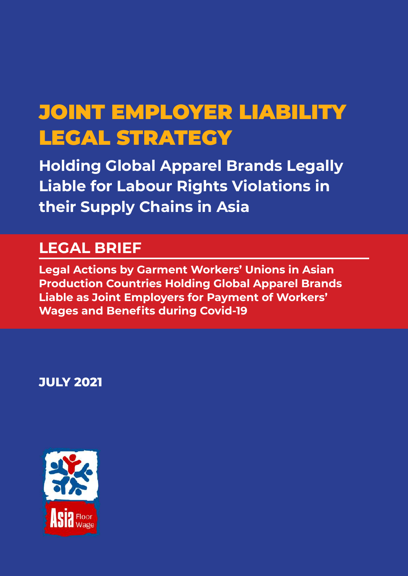# JOINT EMPLOYER LIABILITY LEGAL STRATEGY

**Holding Global Apparel Brands Legally Liable for Labour Rights Violations in their Supply Chains in Asia**

# **LEGAL BRIEF**

**Legal Actions by Garment Workers' Unions in Asian Production Countries Holding Global Apparel Brands Liable as Joint Employers for Payment of Workers' Wages and Benefits during Covid-19**

**JULY 2021**

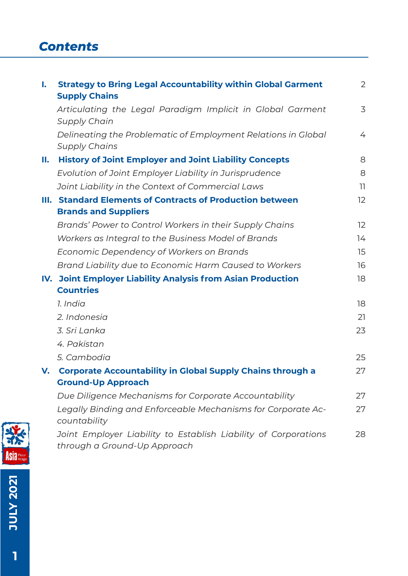### *Contents*

| I. | <b>Strategy to Bring Legal Accountability within Global Garment</b><br><b>Supply Chains</b>     | $\overline{2}$ |
|----|-------------------------------------------------------------------------------------------------|----------------|
|    | Articulating the Legal Paradigm Implicit in Global Garment<br><b>Supply Chain</b>               | 3              |
|    | Delineating the Problematic of Employment Relations in Global<br><b>Supply Chains</b>           | 4              |
| Н. | <b>History of Joint Employer and Joint Liability Concepts</b>                                   | 8              |
|    | Evolution of Joint Employer Liability in Jurisprudence                                          | 8              |
|    | Joint Liability in the Context of Commercial Laws                                               | 11             |
|    | III. Standard Elements of Contracts of Production between                                       | 12             |
|    | <b>Brands and Suppliers</b>                                                                     |                |
|    | Brands' Power to Control Workers in their Supply Chains                                         | 12             |
|    | Workers as Integral to the Business Model of Brands                                             | 14             |
|    | Economic Dependency of Workers on Brands                                                        | 15             |
|    | Brand Liability due to Economic Harm Caused to Workers                                          | 16             |
|    | IV. Joint Employer Liability Analysis from Asian Production                                     | 18             |
|    | <b>Countries</b>                                                                                |                |
|    | 1. India                                                                                        | 18             |
|    | 2. Indonesia                                                                                    | 21             |
|    | 3. Sri Lanka                                                                                    | 23             |
|    | 4. Pakistan                                                                                     |                |
|    | 5. Cambodia                                                                                     | 25             |
| V. | <b>Corporate Accountability in Global Supply Chains through a</b>                               | 27             |
|    | <b>Ground-Up Approach</b>                                                                       |                |
|    | Due Diligence Mechanisms for Corporate Accountability                                           | 27             |
|    | Legally Binding and Enforceable Mechanisms for Corporate Ac-<br>countability                    | 27             |
|    | Joint Employer Liability to Establish Liability of Corporations<br>through a Ground-Up Approach | 28             |



**ASIA JULY 2021**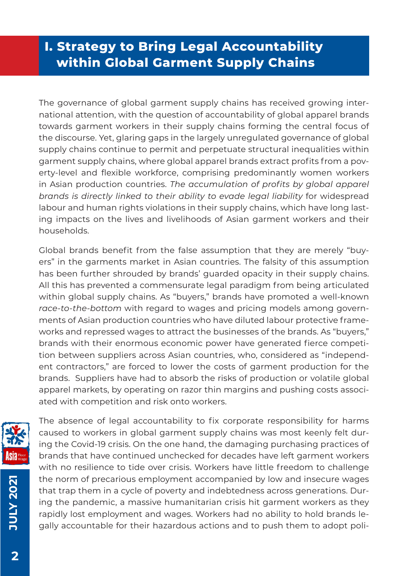## **I. Strategy to Bring Legal Accountability within Global Garment Supply Chains**

The governance of global garment supply chains has received growing international attention, with the question of accountability of global apparel brands towards garment workers in their supply chains forming the central focus of the discourse. Yet, glaring gaps in the largely unregulated governance of global supply chains continue to permit and perpetuate structural inequalities within garment supply chains, where global apparel brands extract profits from a poverty-level and flexible workforce, comprising predominantly women workers in Asian production countries. *The accumulation of profits by global apparel brands is directly linked to their ability to evade legal liability* for widespread labour and human rights violations in their supply chains, which have long lasting impacts on the lives and livelihoods of Asian garment workers and their households.

Global brands benefit from the false assumption that they are merely "buyers" in the garments market in Asian countries. The falsity of this assumption has been further shrouded by brands' guarded opacity in their supply chains. All this has prevented a commensurate legal paradigm from being articulated within global supply chains. As "buyers," brands have promoted a well-known *race-to-the-bottom* with regard to wages and pricing models among governments of Asian production countries who have diluted labour protective frameworks and repressed wages to attract the businesses of the brands. As "buyers," brands with their enormous economic power have generated fierce competition between suppliers across Asian countries, who, considered as "independent contractors," are forced to lower the costs of garment production for the brands. Suppliers have had to absorb the risks of production or volatile global apparel markets, by operating on razor thin margins and pushing costs associated with competition and risk onto workers.



The absence of legal accountability to fix corporate responsibility for harms caused to workers in global garment supply chains was most keenly felt during the Covid-19 crisis. On the one hand, the damaging purchasing practices of brands that have continued unchecked for decades have left garment workers with no resilience to tide over crisis. Workers have little freedom to challenge the norm of precarious employment accompanied by low and insecure wages that trap them in a cycle of poverty and indebtedness across generations. During the pandemic, a massive humanitarian crisis hit garment workers as they rapidly lost employment and wages. Workers had no ability to hold brands legally accountable for their hazardous actions and to push them to adopt poli-

**JULY 2021**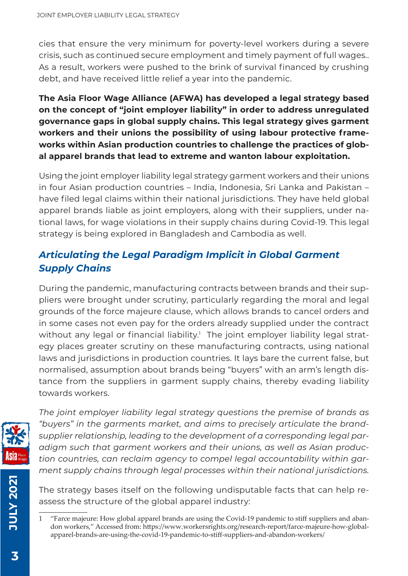cies that ensure the very minimum for poverty-level workers during a severe crisis, such as continued secure employment and timely payment of full wages.. As a result, workers were pushed to the brink of survival financed by crushing debt, and have received little relief a year into the pandemic.

**The Asia Floor Wage Alliance (AFWA) has developed a legal strategy based on the concept of "joint employer liability" in order to address unregulated governance gaps in global supply chains. This legal strategy gives garment workers and their unions the possibility of using labour protective frameworks within Asian production countries to challenge the practices of global apparel brands that lead to extreme and wanton labour exploitation.** 

Using the joint employer liability legal strategy garment workers and their unions in four Asian production countries – India, Indonesia, Sri Lanka and Pakistan – have filed legal claims within their national jurisdictions. They have held global apparel brands liable as joint employers, along with their suppliers, under national laws, for wage violations in their supply chains during Covid-19. This legal strategy is being explored in Bangladesh and Cambodia as well.

#### *Articulating the Legal Paradigm Implicit in Global Garment Supply Chains*

During the pandemic, manufacturing contracts between brands and their suppliers were brought under scrutiny, particularly regarding the moral and legal grounds of the force majeure clause, which allows brands to cancel orders and in some cases not even pay for the orders already supplied under the contract without any legal or financial liability.<sup>1</sup> The joint employer liability legal strategy places greater scrutiny on these manufacturing contracts, using national laws and jurisdictions in production countries. It lays bare the current false, but normalised, assumption about brands being "buyers" with an arm's length distance from the suppliers in garment supply chains, thereby evading liability towards workers.



*The joint employer liability legal strategy questions the premise of brands as "buyers" in the garments market, and aims to precisely articulate the brandsupplier relationship, leading to the development of a corresponding legal paradigm such that garment workers and their unions, as well as Asian production countries, can reclaim agency to compel legal accountability within garment supply chains through legal processes within their national jurisdictions.* 

The strategy bases itself on the following undisputable facts that can help reassess the structure of the global apparel industry:

**JULY 2021**

<sup>&</sup>quot;Farce majeure: How global apparel brands are using the Covid-19 pandemic to stiff suppliers and abandon workers," Accessed from: https://www.workersrights.org/research-report/farce-majeure-how-globalapparel-brands-are-using-the-covid-19-pandemic-to-stiff-suppliers-and-abandon-workers/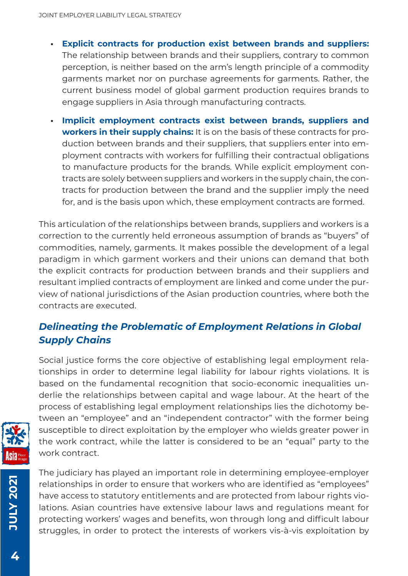- **• Explicit contracts for production exist between brands and suppliers:** The relationship between brands and their suppliers, contrary to common perception, is neither based on the arm's length principle of a commodity garments market nor on purchase agreements for garments. Rather, the current business model of global garment production requires brands to engage suppliers in Asia through manufacturing contracts.
- **• Implicit employment contracts exist between brands, suppliers and workers in their supply chains:** It is on the basis of these contracts for production between brands and their suppliers, that suppliers enter into employment contracts with workers for fulfilling their contractual obligations to manufacture products for the brands. While explicit employment contracts are solely between suppliers and workers in the supply chain, the contracts for production between the brand and the supplier imply the need for, and is the basis upon which, these employment contracts are formed.

This articulation of the relationships between brands, suppliers and workers is a correction to the currently held erroneous assumption of brands as "buyers" of commodities, namely, garments. It makes possible the development of a legal paradigm in which garment workers and their unions can demand that both the explicit contracts for production between brands and their suppliers and resultant implied contracts of employment are linked and come under the purview of national jurisdictions of the Asian production countries, where both the contracts are executed.

#### *Delineating the Problematic of Employment Relations in Global Supply Chains*

Social justice forms the core objective of establishing legal employment relationships in order to determine legal liability for labour rights violations. It is based on the fundamental recognition that socio-economic inequalities underlie the relationships between capital and wage labour. At the heart of the process of establishing legal employment relationships lies the dichotomy between an "employee" and an "independent contractor" with the former being susceptible to direct exploitation by the employer who wields greater power in the work contract, while the latter is considered to be an "equal" party to the work contract.



**12027 AJULY JULY 2021**

The judiciary has played an important role in determining employee-employer relationships in order to ensure that workers who are identified as "employees" have access to statutory entitlements and are protected from labour rights violations. Asian countries have extensive labour laws and regulations meant for protecting workers' wages and benefits, won through long and difficult labour struggles, in order to protect the interests of workers vis-à-vis exploitation by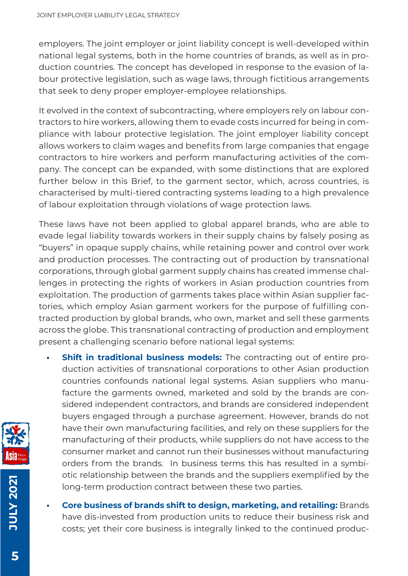employers. The joint employer or joint liability concept is well-developed within national legal systems, both in the home countries of brands, as well as in production countries. The concept has developed in response to the evasion of labour protective legislation, such as wage laws, through fictitious arrangements that seek to deny proper employer-employee relationships.

It evolved in the context of subcontracting, where employers rely on labour contractors to hire workers, allowing them to evade costs incurred for being in compliance with labour protective legislation. The joint employer liability concept allows workers to claim wages and benefits from large companies that engage contractors to hire workers and perform manufacturing activities of the company. The concept can be expanded, with some distinctions that are explored further below in this Brief, to the garment sector, which, across countries, is characterised by multi-tiered contracting systems leading to a high prevalence of labour exploitation through violations of wage protection laws.

These laws have not been applied to global apparel brands, who are able to evade legal liability towards workers in their supply chains by falsely posing as "buyers" in opaque supply chains, while retaining power and control over work and production processes. The contracting out of production by transnational corporations, through global garment supply chains has created immense challenges in protecting the rights of workers in Asian production countries from exploitation. The production of garments takes place within Asian supplier factories, which employ Asian garment workers for the purpose of fulfilling contracted production by global brands, who own, market and sell these garments across the globe. This transnational contracting of production and employment present a challenging scenario before national legal systems:

- **Shift in traditional business models:** The contracting out of entire production activities of transnational corporations to other Asian production countries confounds national legal systems. Asian suppliers who manufacture the garments owned, marketed and sold by the brands are considered independent contractors, and brands are considered independent buyers engaged through a purchase agreement. However, brands do not have their own manufacturing facilities, and rely on these suppliers for the manufacturing of their products, while suppliers do not have access to the consumer market and cannot run their businesses without manufacturing orders from the brands. In business terms this has resulted in a symbiotic relationship between the brands and the suppliers exemplified by the long-term production contract between these two parties.
	- **• Core business of brands shift to design, marketing, and retailing:** Brands have dis-invested from production units to reduce their business risk and costs; yet their core business is integrally linked to the continued produc-

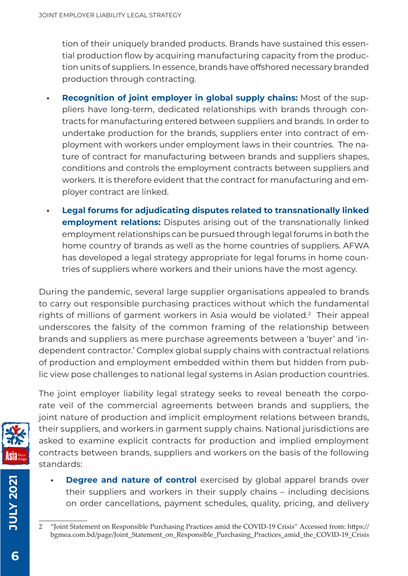tion of their uniquely branded products. Brands have sustained this essential production flow by acquiring manufacturing capacity from the production units of suppliers. In essence, brands have offshored necessary branded production through contracting.

- **• Recognition of joint employer in global supply chains:** Most of the suppliers have long-term, dedicated relationships with brands through contracts for manufacturing entered between suppliers and brands. In order to undertake production for the brands, suppliers enter into contract of employment with workers under employment laws in their countries. The nature of contract for manufacturing between brands and suppliers shapes, conditions and controls the employment contracts between suppliers and workers. It is therefore evident that the contract for manufacturing and employer contract are linked.
- **• Legal forums for adjudicating disputes related to transnationally linked employment relations:** Disputes arising out of the transnationally linked employment relationships can be pursued through legal forums in both the home country of brands as well as the home countries of suppliers. AFWA has developed a legal strategy appropriate for legal forums in home countries of suppliers where workers and their unions have the most agency.

During the pandemic, several large supplier organisations appealed to brands to carry out responsible purchasing practices without which the fundamental rights of millions of garment workers in Asia would be violated.<sup>2</sup> Their appeal underscores the falsity of the common framing of the relationship between brands and suppliers as mere purchase agreements between a 'buyer' and 'independent contractor.' Complex global supply chains with contractual relations of production and employment embedded within them but hidden from public view pose challenges to national legal systems in Asian production countries.



The joint employer liability legal strategy seeks to reveal beneath the corporate veil of the commercial agreements between brands and suppliers, the joint nature of production and implicit employment relations between brands, their suppliers, and workers in garment supply chains. National jurisdictions are asked to examine explicit contracts for production and implied employment contracts between brands, suppliers and workers on the basis of the following standards:

**Degree and nature of control** exercised by global apparel brands over their suppliers and workers in their supply chains – including decisions on order cancellations, payment schedules, quality, pricing, and delivery

**JULY 2021**

<sup>2 &</sup>quot;Joint Statement on Responsible Purchasing Practices amid the COVID-19 Crisis" Accessed from: https:// bgmea.com.bd/page/Joint\_Statement\_on\_Responsible\_Purchasing\_Practices\_amid\_the\_COVID-19\_Crisis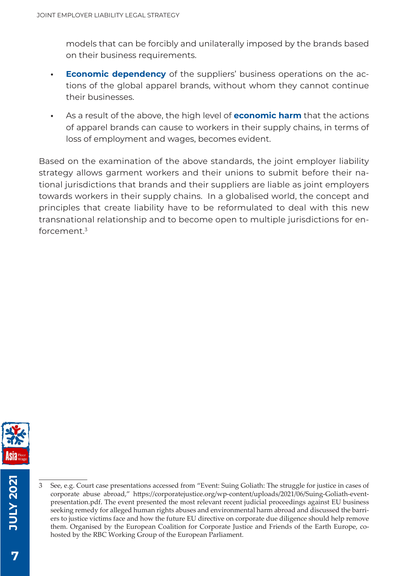models that can be forcibly and unilaterally imposed by the brands based on their business requirements.

- **• Economic dependency** of the suppliers' business operations on the actions of the global apparel brands, without whom they cannot continue their businesses.
- **•** As a result of the above, the high level of **economic harm** that the actions of apparel brands can cause to workers in their supply chains, in terms of loss of employment and wages, becomes evident.

Based on the examination of the above standards, the joint employer liability strategy allows garment workers and their unions to submit before their national jurisdictions that brands and their suppliers are liable as joint employers towards workers in their supply chains. In a globalised world, the concept and principles that create liability have to be reformulated to deal with this new transnational relationship and to become open to multiple jurisdictions for enforcement. $3$ 



See, e.g. Court case presentations accessed from "Event: Suing Goliath: The struggle for justice in cases of corporate abuse abroad," https://corporatejustice.org/wp-content/uploads/2021/06/Suing-Goliath-eventpresentation.pdf. The event presented the most relevant recent judicial proceedings against EU business seeking remedy for alleged human rights abuses and environmental harm abroad and discussed the barriers to justice victims face and how the future EU directive on corporate due diligence should help remove them. Organised by the European Coalition for Corporate Justice and Friends of the Earth Europe, cohosted by the RBC Working Group of the European Parliament.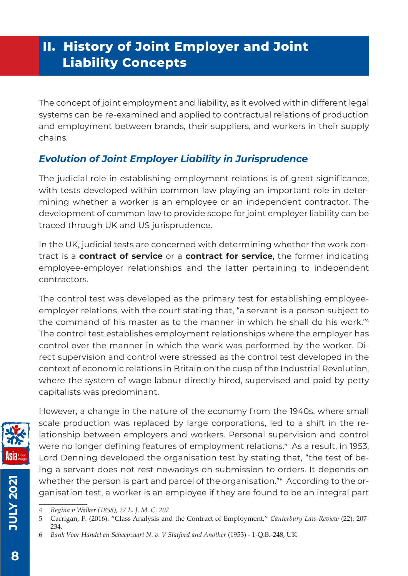# **II. History of Joint Employer and Joint Liability Concepts**

The concept of joint employment and liability, as it evolved within different legal systems can be re-examined and applied to contractual relations of production and employment between brands, their suppliers, and workers in their supply chains.

#### *Evolution of Joint Employer Liability in Jurisprudence*

The judicial role in establishing employment relations is of great significance, with tests developed within common law playing an important role in determining whether a worker is an employee or an independent contractor. The development of common law to provide scope for joint employer liability can be traced through UK and US jurisprudence.

In the UK, judicial tests are concerned with determining whether the work contract is a **contract of service** or a **contract for service**, the former indicating employee-employer relationships and the latter pertaining to independent contractors.

The control test was developed as the primary test for establishing employeeemployer relations, with the court stating that, "a servant is a person subject to the command of his master as to the manner in which he shall do his work."4 The control test establishes employment relationships where the employer has control over the manner in which the work was performed by the worker. Direct supervision and control were stressed as the control test developed in the context of economic relations in Britain on the cusp of the Industrial Revolution, where the system of wage labour directly hired, supervised and paid by petty capitalists was predominant.



However, a change in the nature of the economy from the 1940s, where small scale production was replaced by large corporations, led to a shift in the relationship between employers and workers. Personal supervision and control were no longer defining features of employment relations.<sup>5</sup> As a result, in 1953, Lord Denning developed the organisation test by stating that, "the test of being a servant does not rest nowadays on submission to orders. It depends on whether the person is part and parcel of the organisation."<sup>6</sup> According to the organisation test, a worker is an employee if they are found to be an integral part

**JULY 2021**

**10LY 2021** 

<sup>4</sup> *Regina v Walker (1858), 27 L. J. M. C. 207*

<sup>5</sup> Carrigan, F. (2016). "Class Analysis and the Contract of Employment," *Canterbury Law Review* (22): 207- 234.

<sup>6</sup>  *Bank Voor Handel en Scheepvaart N. v. V Slatford and Another* (1953) - 1-Q.B.-248, UK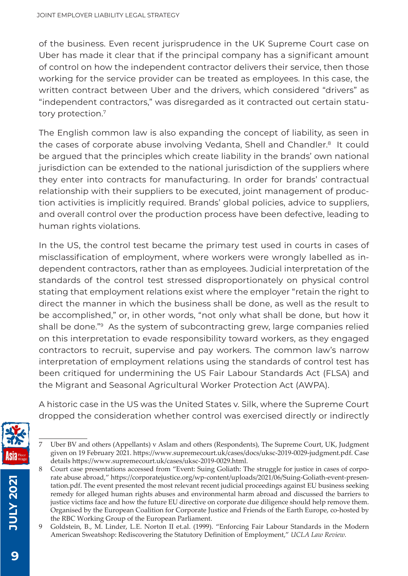of the business. Even recent jurisprudence in the UK Supreme Court case on Uber has made it clear that if the principal company has a significant amount of control on how the independent contractor delivers their service, then those working for the service provider can be treated as employees. In this case, the written contract between Uber and the drivers, which considered "drivers" as "independent contractors," was disregarded as it contracted out certain statutory protection.7

The English common law is also expanding the concept of liability, as seen in the cases of corporate abuse involving Vedanta, Shell and Chandler.<sup>8</sup> It could be argued that the principles which create liability in the brands' own national jurisdiction can be extended to the national jurisdiction of the suppliers where they enter into contracts for manufacturing. In order for brands' contractual relationship with their suppliers to be executed, joint management of production activities is implicitly required. Brands' global policies, advice to suppliers, and overall control over the production process have been defective, leading to human rights violations.

In the US, the control test became the primary test used in courts in cases of misclassification of employment, where workers were wrongly labelled as independent contractors, rather than as employees. Judicial interpretation of the standards of the control test stressed disproportionately on physical control stating that employment relations exist where the employer "retain the right to direct the manner in which the business shall be done, as well as the result to be accomplished," or, in other words, "not only what shall be done, but how it shall be done."<sup>9</sup> As the system of subcontracting grew, large companies relied on this interpretation to evade responsibility toward workers, as they engaged contractors to recruit, supervise and pay workers. The common law's narrow interpretation of employment relations using the standards of control test has been critiqued for undermining the US Fair Labour Standards Act (FLSA) and the Migrant and Seasonal Agricultural Worker Protection Act (AWPA).

A historic case in the US was the United States v. Silk, where the Supreme Court dropped the consideration whether control was exercised directly or indirectly



<sup>7</sup> Uber BV and others (Appellants) v Aslam and others (Respondents), The Supreme Court, UK, Judgment given on 19 February 2021. https://www.supremecourt.uk/cases/docs/uksc-2019-0029-judgment.pdf. Case details https://www.supremecourt.uk/cases/uksc-2019-0029.html.

**JULY 2021**

**1202 X101** 

<sup>8</sup> Court case presentations accessed from "Event: Suing Goliath: The struggle for justice in cases of corporate abuse abroad," https://corporatejustice.org/wp-content/uploads/2021/06/Suing-Goliath-event-presentation.pdf. The event presented the most relevant recent judicial proceedings against EU business seeking remedy for alleged human rights abuses and environmental harm abroad and discussed the barriers to justice victims face and how the future EU directive on corporate due diligence should help remove them. Organised by the European Coalition for Corporate Justice and Friends of the Earth Europe, co-hosted by the RBC Working Group of the European Parliament.

Goldstein, B., M. Linder, L.E. Norton II et.al. (1999). "Enforcing Fair Labour Standards in the Modern American Sweatshop: Rediscovering the Statutory Definition of Employment," *UCLA Law Review.*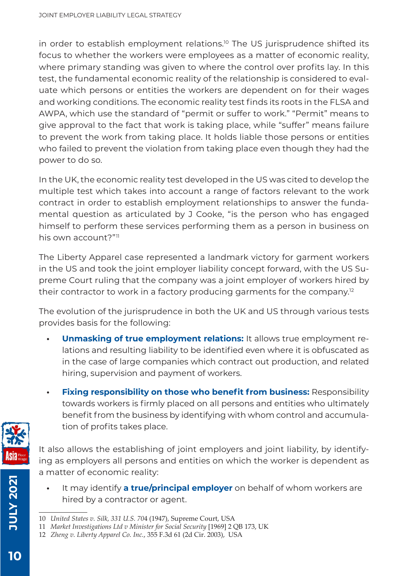in order to establish employment relations.<sup>10</sup> The US jurisprudence shifted its focus to whether the workers were employees as a matter of economic reality, where primary standing was given to where the control over profits lay. In this test, the fundamental economic reality of the relationship is considered to evaluate which persons or entities the workers are dependent on for their wages and working conditions. The economic reality test finds its roots in the FLSA and AWPA, which use the standard of "permit or suffer to work." "Permit" means to give approval to the fact that work is taking place, while "suffer" means failure to prevent the work from taking place. It holds liable those persons or entities who failed to prevent the violation from taking place even though they had the power to do so.

In the UK, the economic reality test developed in the US was cited to develop the multiple test which takes into account a range of factors relevant to the work contract in order to establish employment relationships to answer the fundamental question as articulated by J Cooke, "is the person who has engaged himself to perform these services performing them as a person in business on his own account?"11

The Liberty Apparel case represented a landmark victory for garment workers in the US and took the joint employer liability concept forward, with the US Supreme Court ruling that the company was a joint employer of workers hired by their contractor to work in a factory producing garments for the company.12

The evolution of the jurisprudence in both the UK and US through various tests provides basis for the following:

- **• Unmasking of true employment relations:** It allows true employment relations and resulting liability to be identified even where it is obfuscated as in the case of large companies which contract out production, and related hiring, supervision and payment of workers.
- **• Fixing responsibility on those who benefit from business:** Responsibility towards workers is firmly placed on all persons and entities who ultimately benefit from the business by identifying with whom control and accumulation of profits takes place.



It also allows the establishing of joint employers and joint liability, by identifying as employers all persons and entities on which the worker is dependent as a matter of economic reality:

**•** It may identify **a true/principal employer** on behalf of whom workers are hired by a contractor or agent.

**JULY 2021**

**12027 AJULY** 

<sup>10</sup> *United States v. Silk, 331 U.S. 70*4 (1947), Supreme Court, USA

<sup>11</sup> *Market Investigations Ltd v Minister for Social Security* [1969] 2 QB 173, UK

<sup>12</sup> *Zheng v. Liberty Apparel Co. Inc.*, 355 F.3d 61 (2d Cir. 2003), USA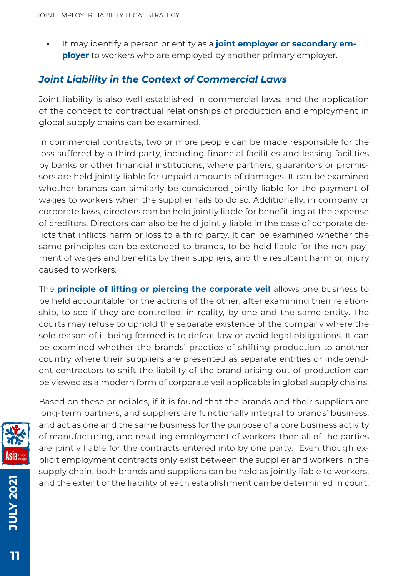**•** It may identify a person or entity as a **joint employer or secondary employer** to workers who are employed by another primary employer.

#### *Joint Liability in the Context of Commercial Laws*

Joint liability is also well established in commercial laws, and the application of the concept to contractual relationships of production and employment in global supply chains can be examined.

In commercial contracts, two or more people can be made responsible for the loss suffered by a third party, including financial facilities and leasing facilities by banks or other financial institutions, where partners, guarantors or promissors are held jointly liable for unpaid amounts of damages. It can be examined whether brands can similarly be considered jointly liable for the payment of wages to workers when the supplier fails to do so. Additionally, in company or corporate laws, directors can be held jointly liable for benefitting at the expense of creditors. Directors can also be held jointly liable in the case of corporate delicts that inflicts harm or loss to a third party. It can be examined whether the same principles can be extended to brands, to be held liable for the non-payment of wages and benefits by their suppliers, and the resultant harm or injury caused to workers.

The **principle of lifting or piercing the corporate veil** allows one business to be held accountable for the actions of the other, after examining their relationship, to see if they are controlled, in reality, by one and the same entity. The courts may refuse to uphold the separate existence of the company where the sole reason of it being formed is to defeat law or avoid legal obligations. It can be examined whether the brands' practice of shifting production to another country where their suppliers are presented as separate entities or independent contractors to shift the liability of the brand arising out of production can be viewed as a modern form of corporate veil applicable in global supply chains.



Based on these principles, if it is found that the brands and their suppliers are long-term partners, and suppliers are functionally integral to brands' business, and act as one and the same business for the purpose of a core business activity of manufacturing, and resulting employment of workers, then all of the parties are jointly liable for the contracts entered into by one party. Even though explicit employment contracts only exist between the supplier and workers in the supply chain, both brands and suppliers can be held as jointly liable to workers, and the extent of the liability of each establishment can be determined in court.

**JULY 2021**

**107 X101**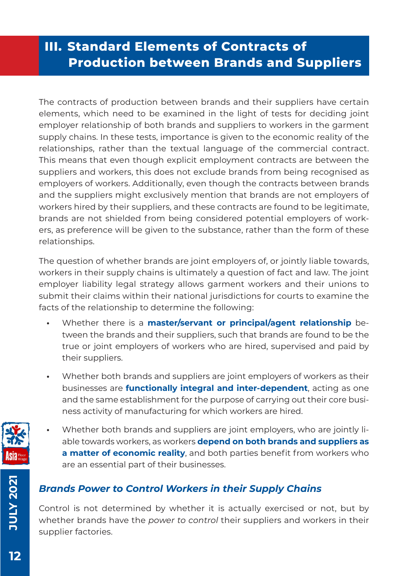# **III. Standard Elements of Contracts of Production between Brands and Suppliers**

The contracts of production between brands and their suppliers have certain elements, which need to be examined in the light of tests for deciding joint employer relationship of both brands and suppliers to workers in the garment supply chains. In these tests, importance is given to the economic reality of the relationships, rather than the textual language of the commercial contract. This means that even though explicit employment contracts are between the suppliers and workers, this does not exclude brands from being recognised as employers of workers. Additionally, even though the contracts between brands and the suppliers might exclusively mention that brands are not employers of workers hired by their suppliers, and these contracts are found to be legitimate, brands are not shielded from being considered potential employers of workers, as preference will be given to the substance, rather than the form of these relationships.

The question of whether brands are joint employers of, or jointly liable towards, workers in their supply chains is ultimately a question of fact and law. The joint employer liability legal strategy allows garment workers and their unions to submit their claims within their national jurisdictions for courts to examine the facts of the relationship to determine the following:

- **•** Whether there is a **master/servant or principal/agent relationship** between the brands and their suppliers, such that brands are found to be the true or joint employers of workers who are hired, supervised and paid by their suppliers.
- **•** Whether both brands and suppliers are joint employers of workers as their businesses are **functionally integral and inter-dependent**, acting as one and the same establishment for the purpose of carrying out their core business activity of manufacturing for which workers are hired.
- **•** Whether both brands and suppliers are joint employers, who are jointly liable towards workers, as workers **depend on both brands and suppliers as a matter of economic reality**, and both parties benefit from workers who are an essential part of their businesses.

#### *Brands Power to Control Workers in their Supply Chains*

Control is not determined by whether it is actually exercised or not, but by whether brands have the *power to control* their suppliers and workers in their supplier factories.



**12** 

**JULY 2021**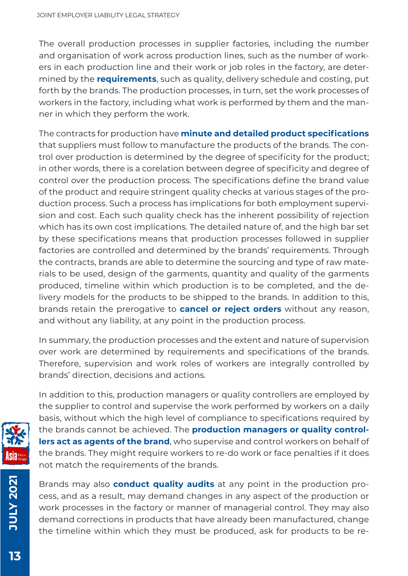The overall production processes in supplier factories, including the number and organisation of work across production lines, such as the number of workers in each production line and their work or job roles in the factory, are determined by the **requirements**, such as quality, delivery schedule and costing, put forth by the brands. The production processes, in turn, set the work processes of workers in the factory, including what work is performed by them and the manner in which they perform the work.

The contracts for production have **minute and detailed product specifications** that suppliers must follow to manufacture the products of the brands. The control over production is determined by the degree of specificity for the product; in other words, there is a corelation between degree of specificity and degree of control over the production process. The specifications define the brand value of the product and require stringent quality checks at various stages of the production process. Such a process has implications for both employment supervision and cost. Each such quality check has the inherent possibility of rejection which has its own cost implications. The detailed nature of, and the high bar set by these specifications means that production processes followed in supplier factories are controlled and determined by the brands' requirements. Through the contracts, brands are able to determine the sourcing and type of raw materials to be used, design of the garments, quantity and quality of the garments produced, timeline within which production is to be completed, and the delivery models for the products to be shipped to the brands. In addition to this, brands retain the prerogative to **cancel or reject orders** without any reason, and without any liability, at any point in the production process.

In summary, the production processes and the extent and nature of supervision over work are determined by requirements and specifications of the brands. Therefore, supervision and work roles of workers are integrally controlled by brands' direction, decisions and actions.



In addition to this, production managers or quality controllers are employed by the supplier to control and supervise the work performed by workers on a daily basis, without which the high level of compliance to specifications required by the brands cannot be achieved. The **production managers or quality controllers act as agents of the brand**, who supervise and control workers on behalf of the brands. They might require workers to re-do work or face penalties if it does not match the requirements of the brands.

Brands may also **conduct quality audits** at any point in the production process, and as a result, may demand changes in any aspect of the production or work processes in the factory or manner of managerial control. They may also demand corrections in products that have already been manufactured, change the timeline within which they must be produced, ask for products to be re-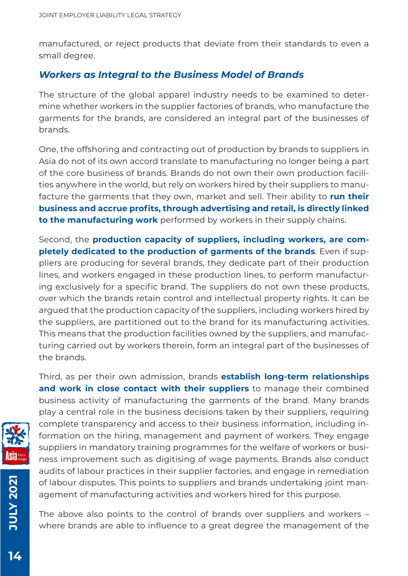manufactured, or reject products that deviate from their standards to even a small degree.

#### *Workers as Integral to the Business Model of Brands*

The structure of the global apparel industry needs to be examined to determine whether workers in the supplier factories of brands, who manufacture the garments for the brands, are considered an integral part of the businesses of brands.

One, the offshoring and contracting out of production by brands to suppliers in Asia do not of its own accord translate to manufacturing no longer being a part of the core business of brands. Brands do not own their own production facilities anywhere in the world, but rely on workers hired by their suppliers to manufacture the garments that they own, market and sell. Their ability to **run their business and accrue profits, through advertising and retail, is directly linked to the manufacturing work** performed by workers in their supply chains.

Second, the **production capacity of suppliers, including workers, are completely dedicated to the production of garments of the brands**. Even if suppliers are producing for several brands, they dedicate part of their production lines, and workers engaged in these production lines, to perform manufacturing exclusively for a specific brand. The suppliers do not own these products, over which the brands retain control and intellectual property rights. It can be argued that the production capacity of the suppliers, including workers hired by the suppliers, are partitioned out to the brand for its manufacturing activities. This means that the production facilities owned by the suppliers, and manufacturing carried out by workers therein, form an integral part of the businesses of the brands.

Third, as per their own admission, brands **establish long-term relationships and work in close contact with their suppliers** to manage their combined business activity of manufacturing the garments of the brand. Many brands play a central role in the business decisions taken by their suppliers, requiring complete transparency and access to their business information, including information on the hiring, management and payment of workers. They engage suppliers in mandatory training programmes for the welfare of workers or business improvement such as digitising of wage payments. Brands also conduct audits of labour practices in their supplier factories, and engage in remediation of labour disputes. This points to suppliers and brands undertaking joint management of manufacturing activities and workers hired for this purpose.

The above also points to the control of brands over suppliers and workers – where brands are able to influence to a great degree the management of the



**JULY 2021**

**12027 AJULY**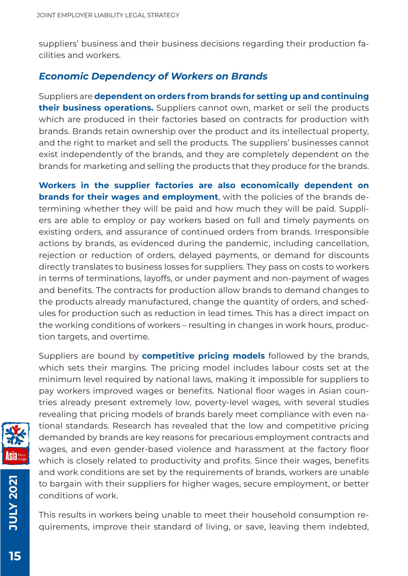suppliers' business and their business decisions regarding their production facilities and workers.

#### *Economic Dependency of Workers on Brands*

Suppliers are **dependent on orders from brands for setting up and continuing their business operations.** Suppliers cannot own, market or sell the products which are produced in their factories based on contracts for production with brands. Brands retain ownership over the product and its intellectual property, and the right to market and sell the products. The suppliers' businesses cannot exist independently of the brands, and they are completely dependent on the brands for marketing and selling the products that they produce for the brands.

**Workers in the supplier factories are also economically dependent on brands for their wages and employment**, with the policies of the brands determining whether they will be paid and how much they will be paid. Suppliers are able to employ or pay workers based on full and timely payments on existing orders, and assurance of continued orders from brands. Irresponsible actions by brands, as evidenced during the pandemic, including cancellation, rejection or reduction of orders, delayed payments, or demand for discounts directly translates to business losses for suppliers. They pass on costs to workers in terms of terminations, layoffs, or under payment and non-payment of wages and benefits. The contracts for production allow brands to demand changes to the products already manufactured, change the quantity of orders, and schedules for production such as reduction in lead times. This has a direct impact on the working conditions of workers – resulting in changes in work hours, production targets, and overtime.

Suppliers are bound by **competitive pricing models** followed by the brands, which sets their margins. The pricing model includes labour costs set at the minimum level required by national laws, making it impossible for suppliers to pay workers improved wages or benefits. National floor wages in Asian countries already present extremely low, poverty-level wages, with several studies revealing that pricing models of brands barely meet compliance with even national standards. Research has revealed that the low and competitive pricing demanded by brands are key reasons for precarious employment contracts and wages, and even gender-based violence and harassment at the factory floor which is closely related to productivity and profits. Since their wages, benefits and work conditions are set by the requirements of brands, workers are unable to bargain with their suppliers for higher wages, secure employment, or better conditions of work.

This results in workers being unable to meet their household consumption requirements, improve their standard of living, or save, leaving them indebted,

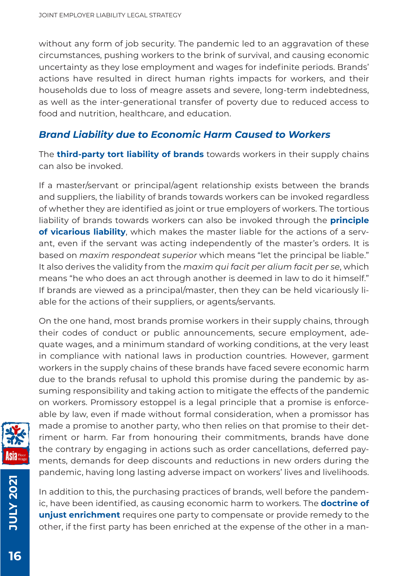without any form of job security. The pandemic led to an aggravation of these circumstances, pushing workers to the brink of survival, and causing economic uncertainty as they lose employment and wages for indefinite periods. Brands' actions have resulted in direct human rights impacts for workers, and their households due to loss of meagre assets and severe, long-term indebtedness, as well as the inter-generational transfer of poverty due to reduced access to food and nutrition, healthcare, and education.

#### *Brand Liability due to Economic Harm Caused to Workers*

The **third-party tort liability of brands** towards workers in their supply chains can also be invoked.

If a master/servant or principal/agent relationship exists between the brands and suppliers, the liability of brands towards workers can be invoked regardless of whether they are identified as joint or true employers of workers. The tortious liability of brands towards workers can also be invoked through the **principle of vicarious liability**, which makes the master liable for the actions of a servant, even if the servant was acting independently of the master's orders. It is based on *maxim respondeat superior* which means "let the principal be liable." It also derives the validity from the *maxim qui facit per alium facit per se*, which means "he who does an act through another is deemed in law to do it himself." If brands are viewed as a principal/master, then they can be held vicariously liable for the actions of their suppliers, or agents/servants.

On the one hand, most brands promise workers in their supply chains, through their codes of conduct or public announcements, secure employment, adequate wages, and a minimum standard of working conditions, at the very least in compliance with national laws in production countries. However, garment workers in the supply chains of these brands have faced severe economic harm due to the brands refusal to uphold this promise during the pandemic by assuming responsibility and taking action to mitigate the effects of the pandemic on workers. Promissory estoppel is a legal principle that a promise is enforceable by law, even if made without formal consideration, when a promissor has made a promise to another party, who then relies on that promise to their detriment or harm. Far from honouring their commitments, brands have done the contrary by engaging in actions such as order cancellations, deferred payments, demands for deep discounts and reductions in new orders during the pandemic, having long lasting adverse impact on workers' lives and livelihoods.



**12027 XJULY JULY 2021**

In addition to this, the purchasing practices of brands, well before the pandemic, have been identified, as causing economic harm to workers. The **doctrine of unjust enrichment** requires one party to compensate or provide remedy to the other, if the first party has been enriched at the expense of the other in a man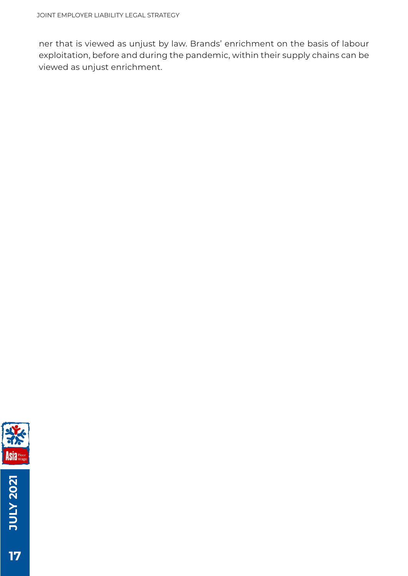ner that is viewed as unjust by law. Brands' enrichment on the basis of labour exploitation, before and during the pandemic, within their supply chains can be viewed as unjust enrichment.



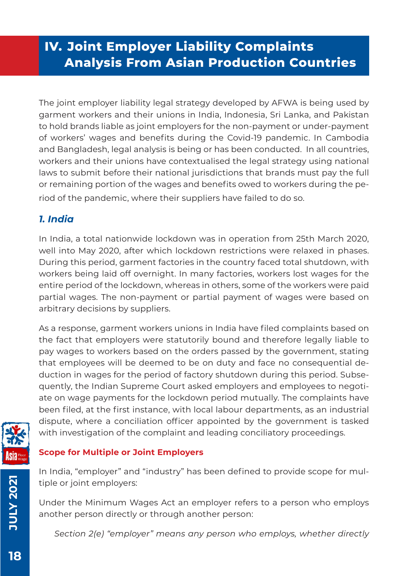# **IV. Joint Employer Liability Complaints Analysis From Asian Production Countries**

The joint employer liability legal strategy developed by AFWA is being used by garment workers and their unions in India, Indonesia, Sri Lanka, and Pakistan to hold brands liable as joint employers for the non-payment or under-payment of workers' wages and benefits during the Covid-19 pandemic. In Cambodia and Bangladesh, legal analysis is being or has been conducted. In all countries, workers and their unions have contextualised the legal strategy using national laws to submit before their national jurisdictions that brands must pay the full or remaining portion of the wages and benefits owed to workers during the period of the pandemic, where their suppliers have failed to do so.

#### *1. India*

In India, a total nationwide lockdown was in operation from 25th March 2020, well into May 2020, after which lockdown restrictions were relaxed in phases. During this period, garment factories in the country faced total shutdown, with workers being laid off overnight. In many factories, workers lost wages for the entire period of the lockdown, whereas in others, some of the workers were paid partial wages. The non-payment or partial payment of wages were based on arbitrary decisions by suppliers.

As a response, garment workers unions in India have filed complaints based on the fact that employers were statutorily bound and therefore legally liable to pay wages to workers based on the orders passed by the government, stating that employees will be deemed to be on duty and face no consequential deduction in wages for the period of factory shutdown during this period. Subsequently, the Indian Supreme Court asked employers and employees to negotiate on wage payments for the lockdown period mutually. The complaints have been filed, at the first instance, with local labour departments, as an industrial dispute, where a conciliation officer appointed by the government is tasked with investigation of the complaint and leading conciliatory proceedings.



#### **Scope for Multiple or Joint Employers**

In India, "employer" and "industry" has been defined to provide scope for multiple or joint employers:

Under the Minimum Wages Act an employer refers to a person who employs another person directly or through another person:

*Section 2(e) "employer" means any person who employs, whether directly* 

**JULY 2021**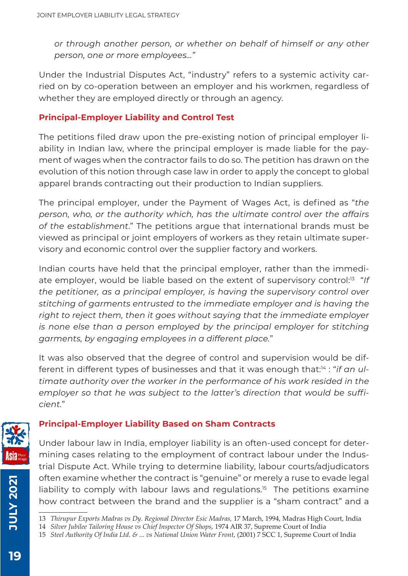*or through another person, or whether on behalf of himself or any other person, one or more employees…"*

Under the Industrial Disputes Act, "industry" refers to a systemic activity carried on by co-operation between an employer and his workmen, regardless of whether they are employed directly or through an agency.

#### **Principal-Employer Liability and Control Test**

The petitions filed draw upon the pre-existing notion of principal employer liability in Indian law, where the principal employer is made liable for the payment of wages when the contractor fails to do so. The petition has drawn on the evolution of this notion through case law in order to apply the concept to global apparel brands contracting out their production to Indian suppliers.

The principal employer, under the Payment of Wages Act, is defined as "*the person, who, or the authority which, has the ultimate control over the affairs of the establishment*." The petitions argue that international brands must be viewed as principal or joint employers of workers as they retain ultimate supervisory and economic control over the supplier factory and workers.

Indian courts have held that the principal employer, rather than the immediate employer, would be liable based on the extent of supervisory control:<sup>13</sup> "If *the petitioner, as a principal employer, is having the supervisory control over stitching of garments entrusted to the immediate employer and is having the right to reject them, then it goes without saying that the immediate employer is none else than a person employed by the principal employer for stitching garments, by engaging employees in a different place.*"

It was also observed that the degree of control and supervision would be different in different types of businesses and that it was enough that:14 : "*if an ultimate authority over the worker in the performance of his work resided in the employer so that he was subject to the latter's direction that would be sufficient.*"



#### **Principal-Employer Liability Based on Sham Contracts**

Under labour law in India, employer liability is an often-used concept for determining cases relating to the employment of contract labour under the Industrial Dispute Act. While trying to determine liability, labour courts/adjudicators often examine whether the contract is "genuine" or merely a ruse to evade legal liability to comply with labour laws and regulations.<sup>15</sup> The petitions examine how contract between the brand and the supplier is a "sham contract" and a

**JULY 2021**

<sup>13</sup> *Thirupur Exports Madras vs Dy. Regional Director Esic Madras,* 17 March, 1994, Madras High Court, India

<sup>14</sup> *Silver Jubilee Tailoring House vs Chief Inspector Of Shops*, 1974 AIR 37, Supreme Court of India

<sup>15</sup> *Steel Authority Of India Ltd. & ... vs National Union Water Front*, (2001) 7 SCC 1, Supreme Court of India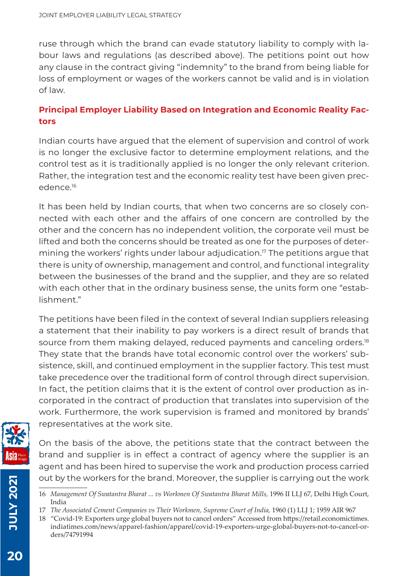ruse through which the brand can evade statutory liability to comply with labour laws and regulations (as described above). The petitions point out how any clause in the contract giving "indemnity" to the brand from being liable for loss of employment or wages of the workers cannot be valid and is in violation of law.

#### **Principal Employer Liability Based on Integration and Economic Reality Factors**

Indian courts have argued that the element of supervision and control of work is no longer the exclusive factor to determine employment relations, and the control test as it is traditionally applied is no longer the only relevant criterion. Rather, the integration test and the economic reality test have been given precedence.16

It has been held by Indian courts, that when two concerns are so closely connected with each other and the affairs of one concern are controlled by the other and the concern has no independent volition, the corporate veil must be lifted and both the concerns should be treated as one for the purposes of determining the workers' rights under labour adjudication.<sup>17</sup> The petitions argue that there is unity of ownership, management and control, and functional integrality between the businesses of the brand and the supplier, and they are so related with each other that in the ordinary business sense, the units form one "establishment."

The petitions have been filed in the context of several Indian suppliers releasing a statement that their inability to pay workers is a direct result of brands that source from them making delayed, reduced payments and canceling orders.<sup>18</sup> They state that the brands have total economic control over the workers' subsistence, skill, and continued employment in the supplier factory. This test must take precedence over the traditional form of control through direct supervision. In fact, the petition claims that it is the extent of control over production as incorporated in the contract of production that translates into supervision of the work. Furthermore, the work supervision is framed and monitored by brands' representatives at the work site.



On the basis of the above, the petitions state that the contract between the brand and supplier is in effect a contract of agency where the supplier is an agent and has been hired to supervise the work and production process carried out by the workers for the brand. Moreover, the supplier is carrying out the work

**JULY 2021**

<sup>16</sup> *Management Of Swatantra Bharat ... vs Workmen Of Swatantra Bharat Mills,* 1996 II LLJ 67, Delhi High Court, India

<sup>17</sup> The Associated Cement Companies vs Their Workmen, Supreme Court of India, 1960 (1) LLJ 1; 1959 AIR 967

<sup>18 &</sup>quot;Covid-19: Exporters urge global buyers not to cancel orders" Accessed from https://retail.economictimes. indiatimes.com/news/apparel-fashion/apparel/covid-19-exporters-urge-global-buyers-not-to-cancel-orders/74791994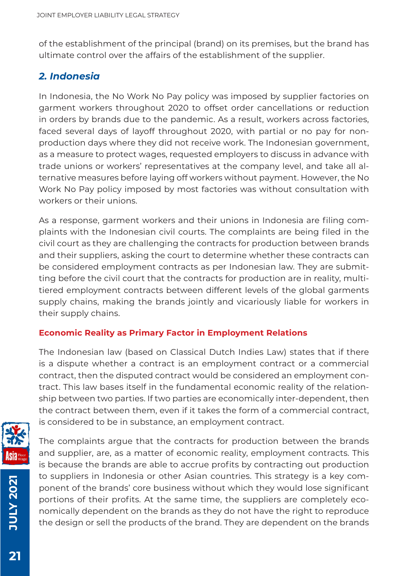of the establishment of the principal (brand) on its premises, but the brand has ultimate control over the affairs of the establishment of the supplier.

#### *2. Indonesia*

In Indonesia, the No Work No Pay policy was imposed by supplier factories on garment workers throughout 2020 to offset order cancellations or reduction in orders by brands due to the pandemic. As a result, workers across factories, faced several days of layoff throughout 2020, with partial or no pay for nonproduction days where they did not receive work. The Indonesian government, as a measure to protect wages, requested employers to discuss in advance with trade unions or workers' representatives at the company level, and take all alternative measures before laying off workers without payment. However, the No Work No Pay policy imposed by most factories was without consultation with workers or their unions.

As a response, garment workers and their unions in Indonesia are filing complaints with the Indonesian civil courts. The complaints are being filed in the civil court as they are challenging the contracts for production between brands and their suppliers, asking the court to determine whether these contracts can be considered employment contracts as per Indonesian law. They are submitting before the civil court that the contracts for production are in reality, multitiered employment contracts between different levels of the global garments supply chains, making the brands jointly and vicariously liable for workers in their supply chains.

#### **Economic Reality as Primary Factor in Employment Relations**

The Indonesian law (based on Classical Dutch Indies Law) states that if there is a dispute whether a contract is an employment contract or a commercial contract, then the disputed contract would be considered an employment contract. This law bases itself in the fundamental economic reality of the relationship between two parties. If two parties are economically inter-dependent, then the contract between them, even if it takes the form of a commercial contract, is considered to be in substance, an employment contract.



**12027 XJULY JULY 2021**

The complaints argue that the contracts for production between the brands and supplier, are, as a matter of economic reality, employment contracts. This is because the brands are able to accrue profits by contracting out production to suppliers in Indonesia or other Asian countries. This strategy is a key component of the brands' core business without which they would lose significant portions of their profits. At the same time, the suppliers are completely economically dependent on the brands as they do not have the right to reproduce the design or sell the products of the brand. They are dependent on the brands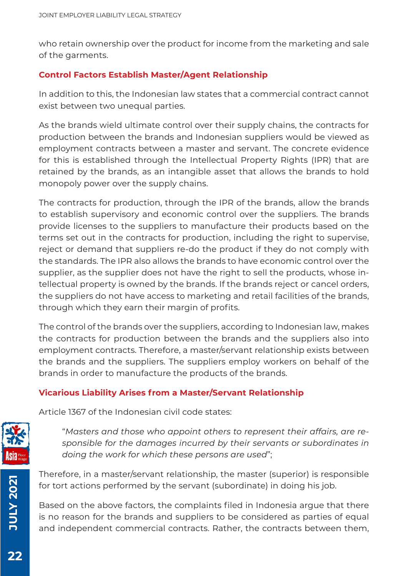who retain ownership over the product for income from the marketing and sale of the garments.

#### **Control Factors Establish Master/Agent Relationship**

In addition to this, the Indonesian law states that a commercial contract cannot exist between two unequal parties.

As the brands wield ultimate control over their supply chains, the contracts for production between the brands and Indonesian suppliers would be viewed as employment contracts between a master and servant. The concrete evidence for this is established through the Intellectual Property Rights (IPR) that are retained by the brands, as an intangible asset that allows the brands to hold monopoly power over the supply chains.

The contracts for production, through the IPR of the brands, allow the brands to establish supervisory and economic control over the suppliers. The brands provide licenses to the suppliers to manufacture their products based on the terms set out in the contracts for production, including the right to supervise, reject or demand that suppliers re-do the product if they do not comply with the standards. The IPR also allows the brands to have economic control over the supplier, as the supplier does not have the right to sell the products, whose intellectual property is owned by the brands. If the brands reject or cancel orders, the suppliers do not have access to marketing and retail facilities of the brands, through which they earn their margin of profits.

The control of the brands over the suppliers, according to Indonesian law, makes the contracts for production between the brands and the suppliers also into employment contracts. Therefore, a master/servant relationship exists between the brands and the suppliers. The suppliers employ workers on behalf of the brands in order to manufacture the products of the brands.

#### **Vicarious Liability Arises from a Master/Servant Relationship**

Article 1367 of the Indonesian civil code states:



"*Masters and those who appoint others to represent their affairs, are responsible for the damages incurred by their servants or subordinates in doing the work for which these persons are used*";

Therefore, in a master/servant relationship, the master (superior) is responsible for tort actions performed by the servant (subordinate) in doing his job.

Based on the above factors, the complaints filed in Indonesia argue that there is no reason for the brands and suppliers to be considered as parties of equal and independent commercial contracts. Rather, the contracts between them,

**JULY 2021**

**12027 AJULY**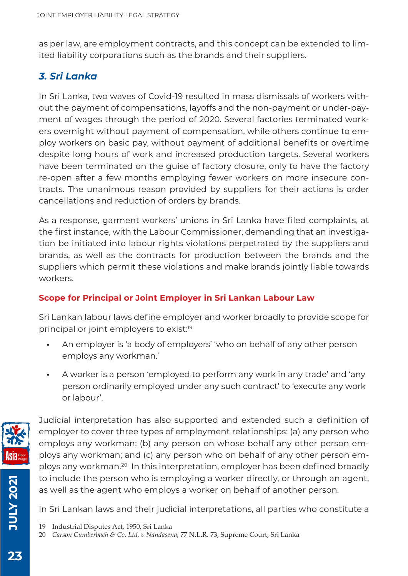as per law, are employment contracts, and this concept can be extended to limited liability corporations such as the brands and their suppliers.

#### *3. Sri Lanka*

In Sri Lanka, two waves of Covid-19 resulted in mass dismissals of workers without the payment of compensations, layoffs and the non-payment or under-payment of wages through the period of 2020. Several factories terminated workers overnight without payment of compensation, while others continue to employ workers on basic pay, without payment of additional benefits or overtime despite long hours of work and increased production targets. Several workers have been terminated on the guise of factory closure, only to have the factory re-open after a few months employing fewer workers on more insecure contracts. The unanimous reason provided by suppliers for their actions is order cancellations and reduction of orders by brands.

As a response, garment workers' unions in Sri Lanka have filed complaints, at the first instance, with the Labour Commissioner, demanding that an investigation be initiated into labour rights violations perpetrated by the suppliers and brands, as well as the contracts for production between the brands and the suppliers which permit these violations and make brands jointly liable towards workers.

#### **Scope for Principal or Joint Employer in Sri Lankan Labour Law**

Sri Lankan labour laws define employer and worker broadly to provide scope for principal or joint employers to exist:<sup>19</sup>

- **•** An employer is 'a body of employers' 'who on behalf of any other person employs any workman.'
- **•** A worker is a person 'employed to perform any work in any trade' and 'any person ordinarily employed under any such contract' to 'execute any work or labour'.



Judicial interpretation has also supported and extended such a definition of employer to cover three types of employment relationships: (a) any person who employs any workman; (b) any person on whose behalf any other person employs any workman; and (c) any person who on behalf of any other person employs any workman.20 In this interpretation, employer has been defined broadly to include the person who is employing a worker directly, or through an agent, as well as the agent who employs a worker on behalf of another person.

In Sri Lankan laws and their judicial interpretations, all parties who constitute a

**JULY 2021**

**JULY 2021** 

<sup>19</sup> Industrial Disputes Act, 1950, Sri Lanka

<sup>20</sup> *Carson Cumberbach & Co. Ltd. v Nandasena*, 77 N.L.R. 73, Supreme Court, Sri Lanka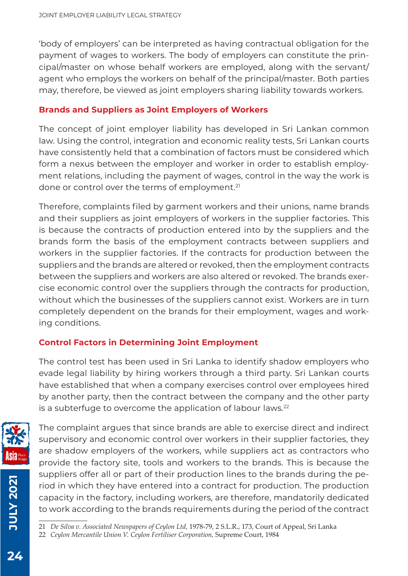'body of employers' can be interpreted as having contractual obligation for the payment of wages to workers. The body of employers can constitute the principal/master on whose behalf workers are employed, along with the servant/ agent who employs the workers on behalf of the principal/master. Both parties may, therefore, be viewed as joint employers sharing liability towards workers.

#### **Brands and Suppliers as Joint Employers of Workers**

The concept of joint employer liability has developed in Sri Lankan common law. Using the control, integration and economic reality tests, Sri Lankan courts have consistently held that a combination of factors must be considered which form a nexus between the employer and worker in order to establish employment relations, including the payment of wages, control in the way the work is done or control over the terms of employment.<sup>21</sup>

Therefore, complaints filed by garment workers and their unions, name brands and their suppliers as joint employers of workers in the supplier factories. This is because the contracts of production entered into by the suppliers and the brands form the basis of the employment contracts between suppliers and workers in the supplier factories. If the contracts for production between the suppliers and the brands are altered or revoked, then the employment contracts between the suppliers and workers are also altered or revoked. The brands exercise economic control over the suppliers through the contracts for production, without which the businesses of the suppliers cannot exist. Workers are in turn completely dependent on the brands for their employment, wages and working conditions.

#### **Control Factors in Determining Joint Employment**

The control test has been used in Sri Lanka to identify shadow employers who evade legal liability by hiring workers through a third party. Sri Lankan courts have established that when a company exercises control over employees hired by another party, then the contract between the company and the other party is a subterfuge to overcome the application of labour laws.<sup>22</sup>



The complaint argues that since brands are able to exercise direct and indirect supervisory and economic control over workers in their supplier factories, they are shadow employers of the workers, while suppliers act as contractors who provide the factory site, tools and workers to the brands. This is because the suppliers offer all or part of their production lines to the brands during the period in which they have entered into a contract for production. The production capacity in the factory, including workers, are therefore, mandatorily dedicated to work according to the brands requirements during the period of the contract

21 *De Silva v. Associated Newspapers of Ceylon Ltd,* 1978-79, 2 S.L.R., 173, Court of Appeal, Sri Lanka

**JULY 2021**

**107 X101** 

<sup>22</sup> *Ceylon Mercantile Union V. Ceylon Fertiliser Corporation,* Supreme Court, 1984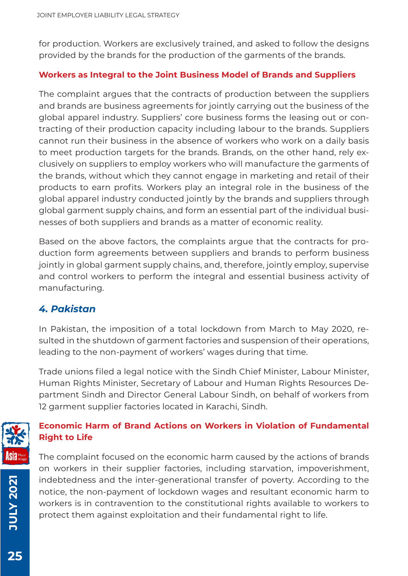for production. Workers are exclusively trained, and asked to follow the designs provided by the brands for the production of the garments of the brands.

#### **Workers as Integral to the Joint Business Model of Brands and Suppliers**

The complaint argues that the contracts of production between the suppliers and brands are business agreements for jointly carrying out the business of the global apparel industry. Suppliers' core business forms the leasing out or contracting of their production capacity including labour to the brands. Suppliers cannot run their business in the absence of workers who work on a daily basis to meet production targets for the brands. Brands, on the other hand, rely exclusively on suppliers to employ workers who will manufacture the garments of the brands, without which they cannot engage in marketing and retail of their products to earn profits. Workers play an integral role in the business of the global apparel industry conducted jointly by the brands and suppliers through global garment supply chains, and form an essential part of the individual businesses of both suppliers and brands as a matter of economic reality.

Based on the above factors, the complaints argue that the contracts for production form agreements between suppliers and brands to perform business jointly in global garment supply chains, and, therefore, jointly employ, supervise and control workers to perform the integral and essential business activity of manufacturing.

#### *4. Pakistan*

In Pakistan, the imposition of a total lockdown from March to May 2020, resulted in the shutdown of garment factories and suspension of their operations, leading to the non-payment of workers' wages during that time.

Trade unions filed a legal notice with the Sindh Chief Minister, Labour Minister, Human Rights Minister, Secretary of Labour and Human Rights Resources Department Sindh and Director General Labour Sindh, on behalf of workers from 12 garment supplier factories located in Karachi, Sindh.



#### **Economic Harm of Brand Actions on Workers in Violation of Fundamental Right to Life**

The complaint focused on the economic harm caused by the actions of brands on workers in their supplier factories, including starvation, impoverishment, indebtedness and the inter-generational transfer of poverty. According to the notice, the non-payment of lockdown wages and resultant economic harm to workers is in contravention to the constitutional rights available to workers to protect them against exploitation and their fundamental right to life.

**JULY 2021**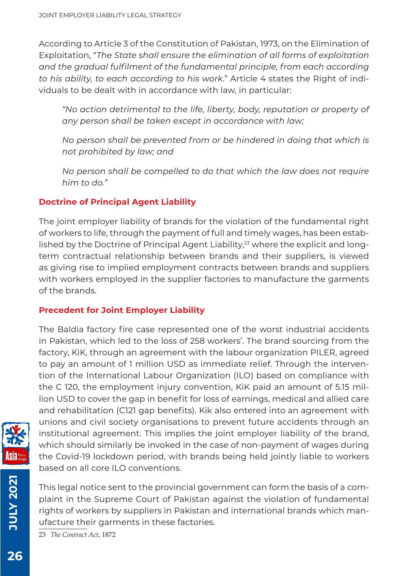According to Article 3 of the Constitution of Pakistan, 1973, on the Elimination of Exploitation, "*The State shall ensure the elimination of all forms of exploitation and the gradual fulfilment of the fundamental principle, from each according to his ability, to each according to his work*." Article 4 states the Right of individuals to be dealt with in accordance with law, in particular:

*"No action detrimental to the life, liberty, body, reputation or property of any person shall be taken except in accordance with law;*

*No person shall be prevented from or be hindered in doing that which is not prohibited by law; and*

*No person shall be compelled to do that which the law does not require him to do."*

#### **Doctrine of Principal Agent Liability**

The joint employer liability of brands for the violation of the fundamental right of workers to life, through the payment of full and timely wages, has been established by the Doctrine of Principal Agent Liability,<sup>23</sup> where the explicit and longterm contractual relationship between brands and their suppliers, is viewed as giving rise to implied employment contracts between brands and suppliers with workers employed in the supplier factories to manufacture the garments of the brands.

#### **Precedent for Joint Employer Liability**

The Baldia factory fire case represented one of the worst industrial accidents in Pakistan, which led to the loss of 258 workers'. The brand sourcing from the factory, KiK, through an agreement with the labour organization PILER, agreed to pay an amount of 1 million USD as immediate relief. Through the intervention of the International Labour Organization (ILO) based on compliance with the C 120, the employment injury convention, KiK paid an amount of 5.15 million USD to cover the gap in benefit for loss of earnings, medical and allied care and rehabilitation (C121 gap benefits). Kik also entered into an agreement with unions and civil society organisations to prevent future accidents through an institutional agreement. This implies the joint employer liability of the brand, which should similarly be invoked in the case of non-payment of wages during the Covid-19 lockdown period, with brands being held jointly liable to workers based on all core II O conventions.



**10LY 2021 JULY 2021**

This legal notice sent to the provincial government can form the basis of a complaint in the Supreme Court of Pakistan against the violation of fundamental rights of workers by suppliers in Pakistan and international brands which manufacture their garments in these factories.

23 *The Contract Act*, 1872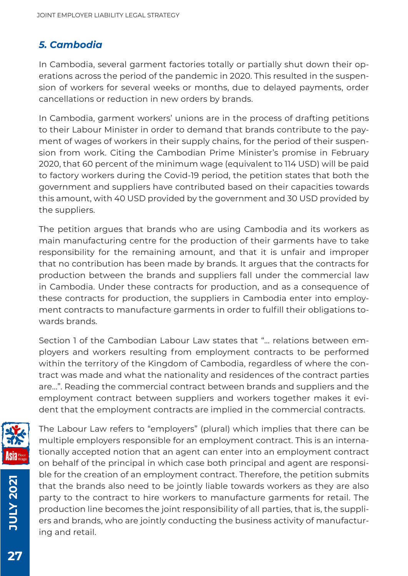#### *5. Cambodia*

In Cambodia, several garment factories totally or partially shut down their operations across the period of the pandemic in 2020. This resulted in the suspension of workers for several weeks or months, due to delayed payments, order cancellations or reduction in new orders by brands.

In Cambodia, garment workers' unions are in the process of drafting petitions to their Labour Minister in order to demand that brands contribute to the payment of wages of workers in their supply chains, for the period of their suspension from work. Citing the Cambodian Prime Minister's promise in February 2020, that 60 percent of the minimum wage (equivalent to 114 USD) will be paid to factory workers during the Covid-19 period, the petition states that both the government and suppliers have contributed based on their capacities towards this amount, with 40 USD provided by the government and 30 USD provided by the suppliers.

The petition argues that brands who are using Cambodia and its workers as main manufacturing centre for the production of their garments have to take responsibility for the remaining amount, and that it is unfair and improper that no contribution has been made by brands. It argues that the contracts for production between the brands and suppliers fall under the commercial law in Cambodia. Under these contracts for production, and as a consequence of these contracts for production, the suppliers in Cambodia enter into employment contracts to manufacture garments in order to fulfill their obligations towards brands.

Section 1 of the Cambodian Labour Law states that "... relations between employers and workers resulting from employment contracts to be performed within the territory of the Kingdom of Cambodia, regardless of where the contract was made and what the nationality and residences of the contract parties are...". Reading the commercial contract between brands and suppliers and the employment contract between suppliers and workers together makes it evident that the employment contracts are implied in the commercial contracts.



**JULY 2021 JULY 2021**

The Labour Law refers to "employers" (plural) which implies that there can be multiple employers responsible for an employment contract. This is an internationally accepted notion that an agent can enter into an employment contract on behalf of the principal in which case both principal and agent are responsible for the creation of an employment contract. Therefore, the petition submits that the brands also need to be jointly liable towards workers as they are also party to the contract to hire workers to manufacture garments for retail. The production line becomes the joint responsibility of all parties, that is, the suppliers and brands, who are jointly conducting the business activity of manufacturing and retail.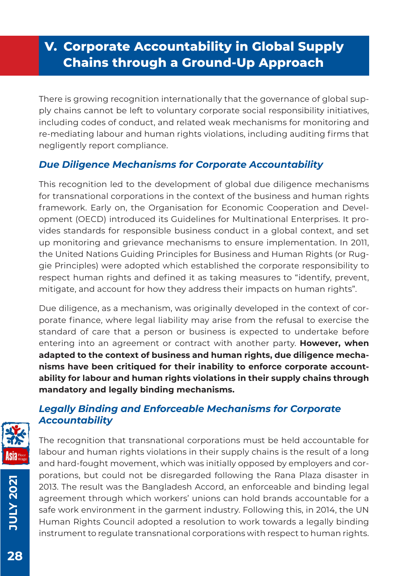# **V. Corporate Accountability in Global Supply Chains through a Ground-Up Approach**

There is growing recognition internationally that the governance of global supply chains cannot be left to voluntary corporate social responsibility initiatives, including codes of conduct, and related weak mechanisms for monitoring and re-mediating labour and human rights violations, including auditing firms that negligently report compliance.

#### *Due Diligence Mechanisms for Corporate Accountability*

This recognition led to the development of global due diligence mechanisms for transnational corporations in the context of the business and human rights framework. Early on, the Organisation for Economic Cooperation and Development (OECD) introduced its Guidelines for Multinational Enterprises. It provides standards for responsible business conduct in a global context, and set up monitoring and grievance mechanisms to ensure implementation. In 2011, the United Nations Guiding Principles for Business and Human Rights (or Ruggie Principles) were adopted which established the corporate responsibility to respect human rights and defined it as taking measures to "identify, prevent, mitigate, and account for how they address their impacts on human rights".

Due diligence, as a mechanism, was originally developed in the context of corporate finance, where legal liability may arise from the refusal to exercise the standard of care that a person or business is expected to undertake before entering into an agreement or contract with another party. **However, when adapted to the context of business and human rights, due diligence mechanisms have been critiqued for their inability to enforce corporate accountability for labour and human rights violations in their supply chains through mandatory and legally binding mechanisms.** 

#### *Legally Binding and Enforceable Mechanisms for Corporate Accountability*

The recognition that transnational corporations must be held accountable for labour and human rights violations in their supply chains is the result of a long and hard-fought movement, which was initially opposed by employers and corporations, but could not be disregarded following the Rana Plaza disaster in 2013. The result was the Bangladesh Accord, an enforceable and binding legal agreement through which workers' unions can hold brands accountable for a safe work environment in the garment industry. Following this, in 2014, the UN Human Rights Council adopted a resolution to work towards a legally binding instrument to regulate transnational corporations with respect to human rights.

**JULY 2021**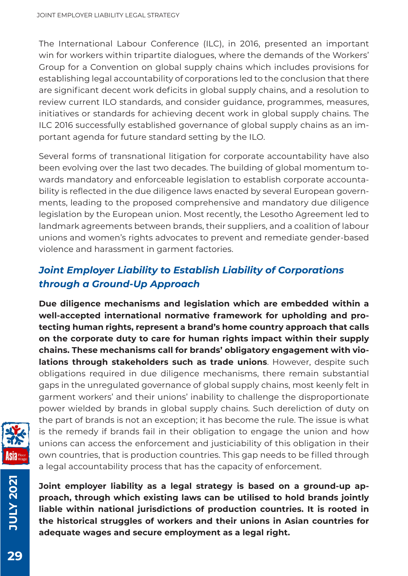The International Labour Conference (ILC), in 2016, presented an important win for workers within tripartite dialogues, where the demands of the Workers' Group for a Convention on global supply chains which includes provisions for establishing legal accountability of corporations led to the conclusion that there are significant decent work deficits in global supply chains, and a resolution to review current ILO standards, and consider guidance, programmes, measures, initiatives or standards for achieving decent work in global supply chains. The ILC 2016 successfully established governance of global supply chains as an important agenda for future standard setting by the ILO.

Several forms of transnational litigation for corporate accountability have also been evolving over the last two decades. The building of global momentum towards mandatory and enforceable legislation to establish corporate accountability is reflected in the due diligence laws enacted by several European governments, leading to the proposed comprehensive and mandatory due diligence legislation by the European union. Most recently, the Lesotho Agreement led to landmark agreements between brands, their suppliers, and a coalition of labour unions and women's rights advocates to prevent and remediate gender-based violence and harassment in garment factories.

#### *Joint Employer Liability to Establish Liability of Corporations through a Ground-Up Approach*

**Due diligence mechanisms and legislation which are embedded within a well-accepted international normative framework for upholding and protecting human rights, represent a brand's home country approach that calls on the corporate duty to care for human rights impact within their supply chains. These mechanisms call for brands' obligatory engagement with violations through stakeholders such as trade unions**. However, despite such obligations required in due diligence mechanisms, there remain substantial gaps in the unregulated governance of global supply chains, most keenly felt in garment workers' and their unions' inability to challenge the disproportionate power wielded by brands in global supply chains. Such dereliction of duty on the part of brands is not an exception; it has become the rule. The issue is what is the remedy if brands fail in their obligation to engage the union and how unions can access the enforcement and justiciability of this obligation in their own countries, that is production countries. This gap needs to be filled through a legal accountability process that has the capacity of enforcement.



**12027 XJULY JULY 2021**

**Joint employer liability as a legal strategy is based on a ground-up approach, through which existing laws can be utilised to hold brands jointly liable within national jurisdictions of production countries. It is rooted in the historical struggles of workers and their unions in Asian countries for adequate wages and secure employment as a legal right.**